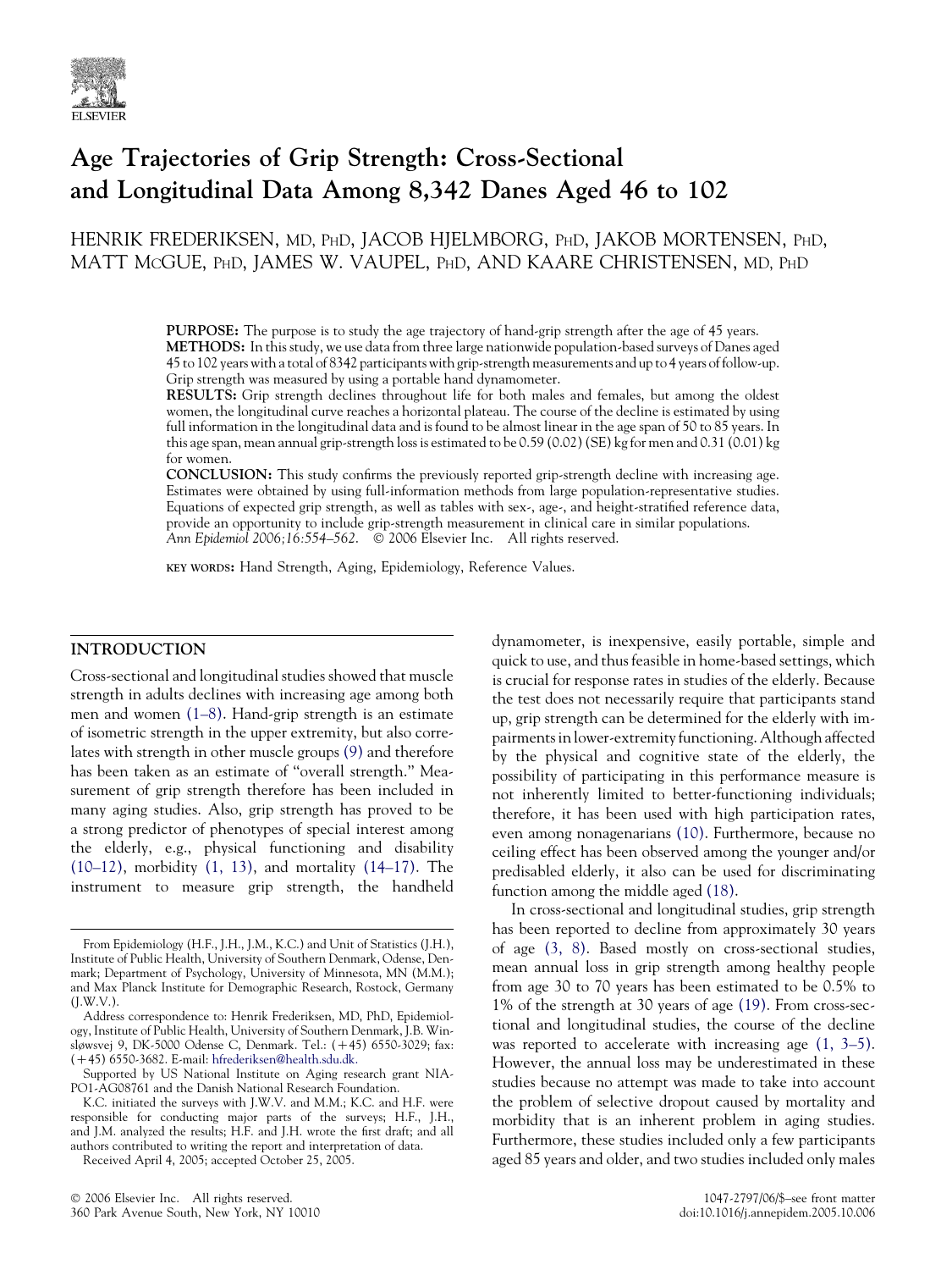

# Age Trajectories of Grip Strength: Cross-Sectional and Longitudinal Data Among 8,342 Danes Aged 46 to 102

HENRIK FREDERIKSEN, MD, PHD, JACOB HJELMBORG, PHD, JAKOB MORTENSEN, PHD, MATT MCGUE, PHD, JAMES W. VAUPEL, PHD, AND KAARE CHRISTENSEN, MD, PHD

> PURPOSE: The purpose is to study the age trajectory of hand-grip strength after the age of 45 years. METHODS: In this study, we use data from three large nationwide population-based surveys of Danes aged 45 to 102 years with a total of 8342 participants with grip-strength measurements and up to 4 years of follow-up. Grip strength was measured by using a portable hand dynamometer.

> RESULTS: Grip strength declines throughout life for both males and females, but among the oldest women, the longitudinal curve reaches a horizontal plateau. The course of the decline is estimated by using full information in the longitudinal data and is found to be almost linear in the age span of 50 to 85 years. In this age span, mean annual grip-strength loss is estimated to be 0.59 (0.02) (SE) kg for men and 0.31 (0.01) kg for women.

> CONCLUSION: This study confirms the previously reported grip-strength decline with increasing age. Estimates were obtained by using full-information methods from large population-representative studies. Equations of expected grip strength, as well as tables with sex-, age-, and height-stratified reference data, provide an opportunity to include grip-strength measurement in clinical care in similar populations. Ann Epidemiol 2006;16:554-562. © 2006 Elsevier Inc. All rights reserved.

KEY WORDS: Hand Strength, Aging, Epidemiology, Reference Values.

#### INTRODUCTION

Cross-sectional and longitudinal studies showed that muscle strength in adults declines with increasing age among both men and women [\(1–8\).](#page-7-0) Hand-grip strength is an estimate of isometric strength in the upper extremity, but also correlates with strength in other muscle groups [\(9\)](#page-7-0) and therefore has been taken as an estimate of ''overall strength.'' Measurement of grip strength therefore has been included in many aging studies. Also, grip strength has proved to be a strong predictor of phenotypes of special interest among the elderly, e.g., physical functioning and disability [\(10–12\),](#page-7-0) morbidity [\(1, 13\),](#page-7-0) and mortality [\(14–17\)](#page-7-0). The instrument to measure grip strength, the handheld

Received April 4, 2005; accepted October 25, 2005.

dynamometer, is inexpensive, easily portable, simple and quick to use, and thus feasible in home-based settings, which is crucial for response rates in studies of the elderly. Because the test does not necessarily require that participants stand up, grip strength can be determined for the elderly with impairments in lower-extremity functioning. Although affected by the physical and cognitive state of the elderly, the possibility of participating in this performance measure is not inherently limited to better-functioning individuals; therefore, it has been used with high participation rates, even among nonagenarians [\(10\).](#page-7-0) Furthermore, because no ceiling effect has been observed among the younger and/or predisabled elderly, it also can be used for discriminating function among the middle aged [\(18\)](#page-7-0).

In cross-sectional and longitudinal studies, grip strength has been reported to decline from approximately 30 years of age [\(3, 8\).](#page-7-0) Based mostly on cross-sectional studies, mean annual loss in grip strength among healthy people from age 30 to 70 years has been estimated to be 0.5% to 1% of the strength at 30 years of age [\(19\)](#page-7-0). From cross-sectional and longitudinal studies, the course of the decline was reported to accelerate with increasing age  $(1, 3-5)$ . However, the annual loss may be underestimated in these studies because no attempt was made to take into account the problem of selective dropout caused by mortality and morbidity that is an inherent problem in aging studies. Furthermore, these studies included only a few participants aged 85 years and older, and two studies included only males

From Epidemiology (H.F., J.H., J.M., K.C.) and Unit of Statistics (J.H.), Institute of Public Health, University of Southern Denmark, Odense, Denmark; Department of Psychology, University of Minnesota, MN (M.M.); and Max Planck Institute for Demographic Research, Rostock, Germany (J.W.V.).

Address correspondence to: Henrik Frederiksen, MD, PhD, Epidemiology, Institute of Public Health, University of Southern Denmark, J.B. Winsløwsvej 9, DK-5000 Odense C, Denmark. Tel.: (+45) 6550-3029; fax:  $(+45)$  6550-3682. E-mail: [hfrederiksen@health.sdu.dk.](mailto:hfrederiksen@health.sdu.dk)

Supported by US National Institute on Aging research grant NIA-PO1-AG08761 and the Danish National Research Foundation.

K.C. initiated the surveys with J.W.V. and M.M.; K.C. and H.F. were responsible for conducting major parts of the surveys; H.F., J.H., and J.M. analyzed the results; H.F. and J.H. wrote the first draft; and all authors contributed to writing the report and interpretation of data.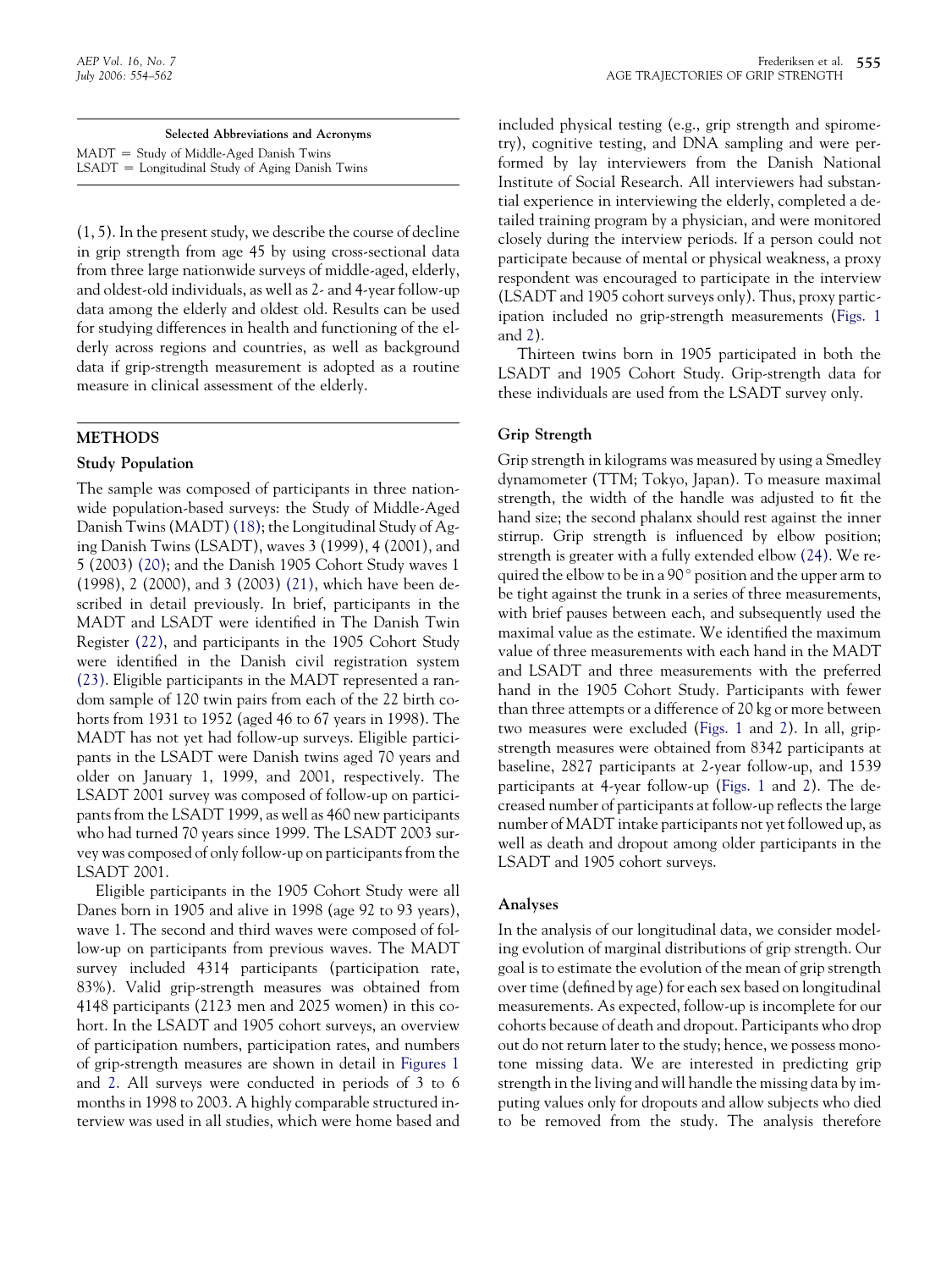| Selected Abbreviations and Acronyms                 |
|-----------------------------------------------------|
| $MADT =$ Study of Middle-Aged Danish Twins          |
| $LSADT = Longitudinal Study of Aging Danish T wins$ |

(1, 5). In the present study, we describe the course of decline in grip strength from age 45 by using cross-sectional data from three large nationwide surveys of middle-aged, elderly, and oldest-old individuals, as well as 2- and 4-year follow-up data among the elderly and oldest old. Results can be used for studying differences in health and functioning of the elderly across regions and countries, as well as background data if grip-strength measurement is adopted as a routine measure in clinical assessment of the elderly.

# METHODS

#### Study Population

The sample was composed of participants in three nationwide population-based surveys: the Study of Middle-Aged Danish Twins (MADT) [\(18\);](#page-7-0) the Longitudinal Study of Aging Danish Twins (LSADT), waves 3 (1999), 4 (2001), and 5 (2003) [\(20\);](#page-7-0) and the Danish 1905 Cohort Study waves 1 (1998), 2 (2000), and 3 (2003) [\(21\)](#page-7-0), which have been described in detail previously. In brief, participants in the MADT and LSADT were identified in The Danish Twin Register [\(22\),](#page-7-0) and participants in the 1905 Cohort Study were identified in the Danish civil registration system [\(23\)](#page-7-0). Eligible participants in the MADT represented a random sample of 120 twin pairs from each of the 22 birth cohorts from 1931 to 1952 (aged 46 to 67 years in 1998). The MADT has not yet had follow-up surveys. Eligible participants in the LSADT were Danish twins aged 70 years and older on January 1, 1999, and 2001, respectively. The LSADT 2001 survey was composed of follow-up on participants from the LSADT 1999, as well as 460 new participants who had turned 70 years since 1999. The LSADT 2003 survey was composed of only follow-up on participants from the LSADT 2001.

Eligible participants in the 1905 Cohort Study were all Danes born in 1905 and alive in 1998 (age 92 to 93 years), wave 1. The second and third waves were composed of follow-up on participants from previous waves. The MADT survey included 4314 participants (participation rate, 83%). Valid grip-strength measures was obtained from 4148 participants (2123 men and 2025 women) in this cohort. In the LSADT and 1905 cohort surveys, an overview of participation numbers, participation rates, and numbers of grip-strength measures are shown in detail in [Figures 1](#page-2-0) and [2](#page-3-0). All surveys were conducted in periods of 3 to 6 months in 1998 to 2003. A highly comparable structured interview was used in all studies, which were home based and included physical testing (e.g., grip strength and spirometry), cognitive testing, and DNA sampling and were performed by lay interviewers from the Danish National Institute of Social Research. All interviewers had substantial experience in interviewing the elderly, completed a detailed training program by a physician, and were monitored closely during the interview periods. If a person could not participate because of mental or physical weakness, a proxy respondent was encouraged to participate in the interview (LSADT and 1905 cohort surveys only). Thus, proxy participation included no grip-strength measurements [\(Figs. 1](#page-2-0) and [2](#page-3-0)).

Thirteen twins born in 1905 participated in both the LSADT and 1905 Cohort Study. Grip-strength data for these individuals are used from the LSADT survey only.

# Grip Strength

Grip strength in kilograms was measured by using a Smedley dynamometer (TTM; Tokyo, Japan). To measure maximal strength, the width of the handle was adjusted to fit the hand size; the second phalanx should rest against the inner stirrup. Grip strength is influenced by elbow position; strength is greater with a fully extended elbow [\(24\).](#page-7-0) We required the elbow to be in a  $90^{\circ}$  position and the upper arm to be tight against the trunk in a series of three measurements, with brief pauses between each, and subsequently used the maximal value as the estimate. We identified the maximum value of three measurements with each hand in the MADT and LSADT and three measurements with the preferred hand in the 1905 Cohort Study. Participants with fewer than three attempts or a difference of 20 kg or more between two measures were excluded ([Figs. 1](#page-2-0) and [2](#page-3-0)). In all, gripstrength measures were obtained from 8342 participants at baseline, 2827 participants at 2-year follow-up, and 1539 participants at 4-year follow-up [\(Figs. 1](#page-2-0) and [2\)](#page-3-0). The decreased number of participants at follow-up reflects the large number of MADT intake participants not yet followed up, as well as death and dropout among older participants in the LSADT and 1905 cohort surveys.

#### Analyses

In the analysis of our longitudinal data, we consider modeling evolution of marginal distributions of grip strength. Our goal is to estimate the evolution of the mean of grip strength over time (defined by age) for each sex based on longitudinal measurements. As expected, follow-up is incomplete for our cohorts because of death and dropout. Participants who drop out do not return later to the study; hence, we possess monotone missing data. We are interested in predicting grip strength in the living and will handle the missing data by imputing values only for dropouts and allow subjects who died to be removed from the study. The analysis therefore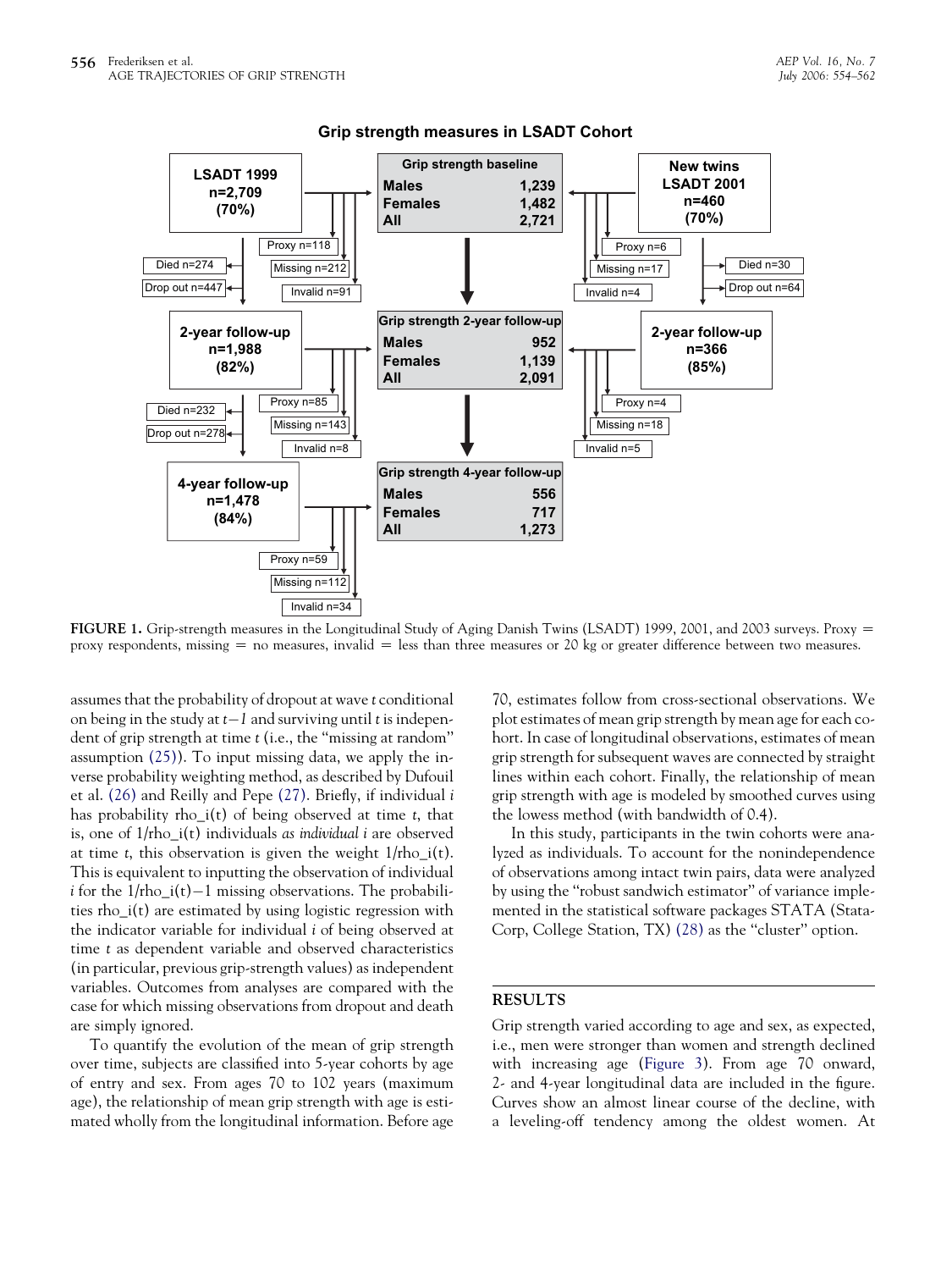<span id="page-2-0"></span>

FIGURE 1. Grip-strength measures in the Longitudinal Study of Aging Danish Twins (LSADT) 1999, 2001, and 2003 surveys. Proxy = proxy respondents, missing  $=$  no measures, invalid  $=$  less than three measures or 20 kg or greater difference between two measures.

assumes that the probability of dropout at wave t conditional on being in the study at  $t-1$  and surviving until  $t$  is independent of grip strength at time t (i.e., the ''missing at random'' assumption [\(25\)](#page-7-0)). To input missing data, we apply the inverse probability weighting method, as described by Dufouil et al. [\(26\)](#page-7-0) and Reilly and Pepe [\(27\)](#page-7-0). Briefly, if individual i has probability rho\_i(t) of being observed at time t, that is, one of  $1/\text{rho}_i(t)$  individuals as individual *i* are observed at time t, this observation is given the weight  $1/\text{rho}_i(t)$ . This is equivalent to inputting the observation of individual i for the 1/rho\_i(t)-1 missing observations. The probabilities rho\_i(t) are estimated by using logistic regression with the indicator variable for individual i of being observed at time t as dependent variable and observed characteristics (in particular, previous grip-strength values) as independent variables. Outcomes from analyses are compared with the case for which missing observations from dropout and death are simply ignored.

To quantify the evolution of the mean of grip strength over time, subjects are classified into 5-year cohorts by age of entry and sex. From ages 70 to 102 years (maximum age), the relationship of mean grip strength with age is estimated wholly from the longitudinal information. Before age 70, estimates follow from cross-sectional observations. We plot estimates of mean grip strength by mean age for each cohort. In case of longitudinal observations, estimates of mean grip strength for subsequent waves are connected by straight lines within each cohort. Finally, the relationship of mean grip strength with age is modeled by smoothed curves using the lowess method (with bandwidth of 0.4).

In this study, participants in the twin cohorts were analyzed as individuals. To account for the nonindependence of observations among intact twin pairs, data were analyzed by using the ''robust sandwich estimator'' of variance implemented in the statistical software packages STATA (Stata-Corp, College Station, TX) [\(28\)](#page-7-0) as the ''cluster'' option.

#### RESULTS

Grip strength varied according to age and sex, as expected, i.e., men were stronger than women and strength declined with increasing age [\(Figure 3](#page-4-0)). From age 70 onward, 2- and 4-year longitudinal data are included in the figure. Curves show an almost linear course of the decline, with a leveling-off tendency among the oldest women. At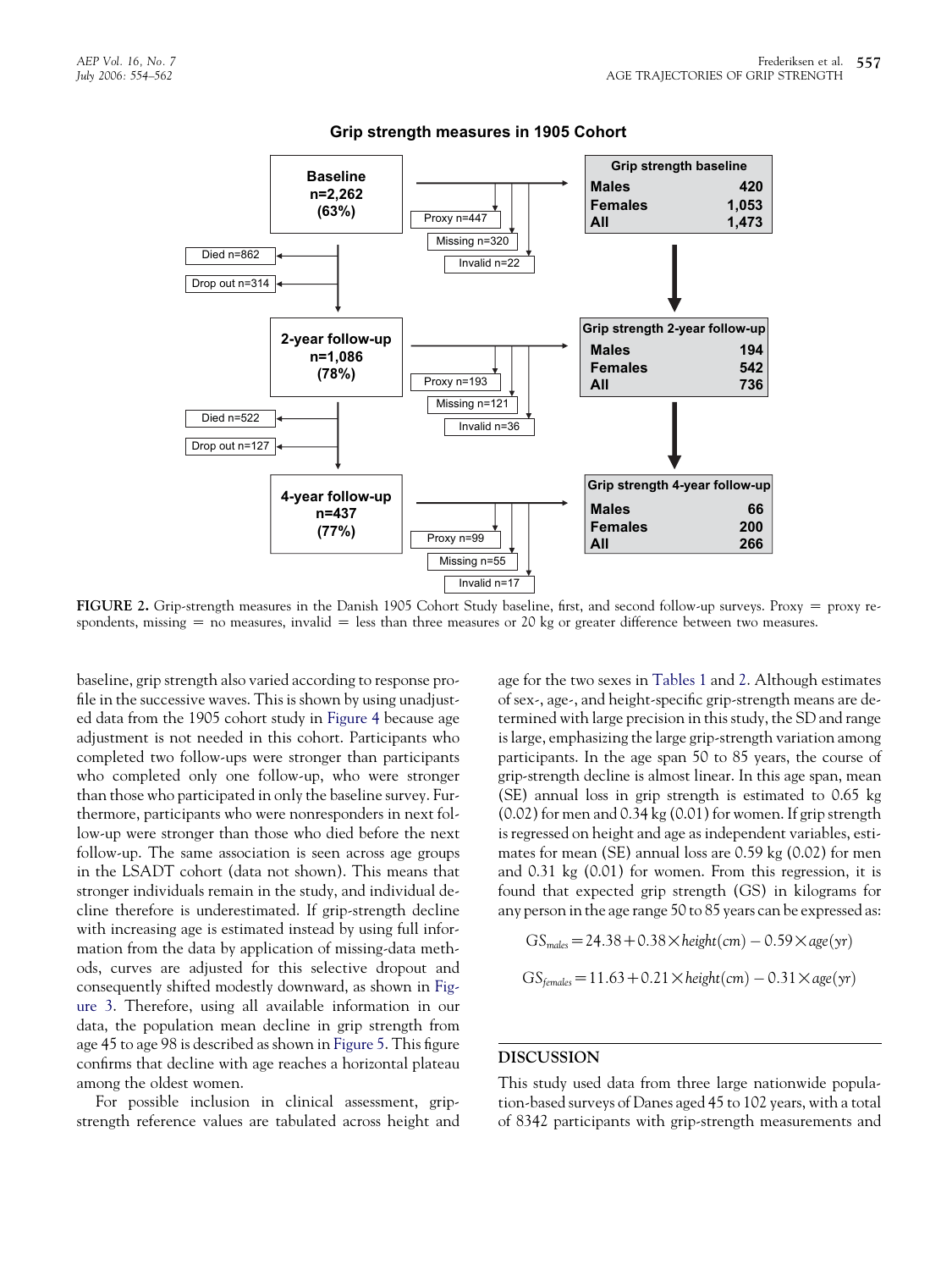<span id="page-3-0"></span>

FIGURE 2. Grip-strength measures in the Danish 1905 Cohort Study baseline, first, and second follow-up surveys. Proxy  $=$  proxy respondents, missing  $=$  no measures, invalid  $=$  less than three measures or 20 kg or greater difference between two measures.

baseline, grip strength also varied according to response profile in the successive waves. This is shown by using unadjusted data from the 1905 cohort study in [Figure 4](#page-5-0) because age adjustment is not needed in this cohort. Participants who completed two follow-ups were stronger than participants who completed only one follow-up, who were stronger than those who participated in only the baseline survey. Furthermore, participants who were nonresponders in next follow-up were stronger than those who died before the next follow-up. The same association is seen across age groups in the LSADT cohort (data not shown). This means that stronger individuals remain in the study, and individual decline therefore is underestimated. If grip-strength decline with increasing age is estimated instead by using full information from the data by application of missing-data methods, curves are adjusted for this selective dropout and consequently shifted modestly downward, as shown in [Fig](#page-4-0)[ure 3](#page-4-0). Therefore, using all available information in our data, the population mean decline in grip strength from age 45 to age 98 is described as shown in [Figure 5](#page-5-0). This figure confirms that decline with age reaches a horizontal plateau among the oldest women.

For possible inclusion in clinical assessment, gripstrength reference values are tabulated across height and age for the two sexes in [Tables 1](#page-6-0) and [2.](#page-6-0) Although estimates of sex-, age-, and height-specific grip-strength means are determined with large precision in this study, the SD and range is large, emphasizing the large grip-strength variation among participants. In the age span 50 to 85 years, the course of grip-strength decline is almost linear. In this age span, mean (SE) annual loss in grip strength is estimated to 0.65 kg (0.02) for men and 0.34 kg (0.01) for women. If grip strength is regressed on height and age as independent variables, estimates for mean (SE) annual loss are 0.59 kg (0.02) for men and 0.31 kg (0.01) for women. From this regression, it is found that expected grip strength (GS) in kilograms for any person in the age range 50 to 85 years can be expressed as:

$$
GS_{males} = 24.38 + 0.38 \times height(cm) - 0.59 \times age(yr)
$$
  

$$
GS_{females} = 11.63 + 0.21 \times height(cm) - 0.31 \times age(yr)
$$

# DISCUSSION

This study used data from three large nationwide population-based surveys of Danes aged 45 to 102 years, with a total of 8342 participants with grip-strength measurements and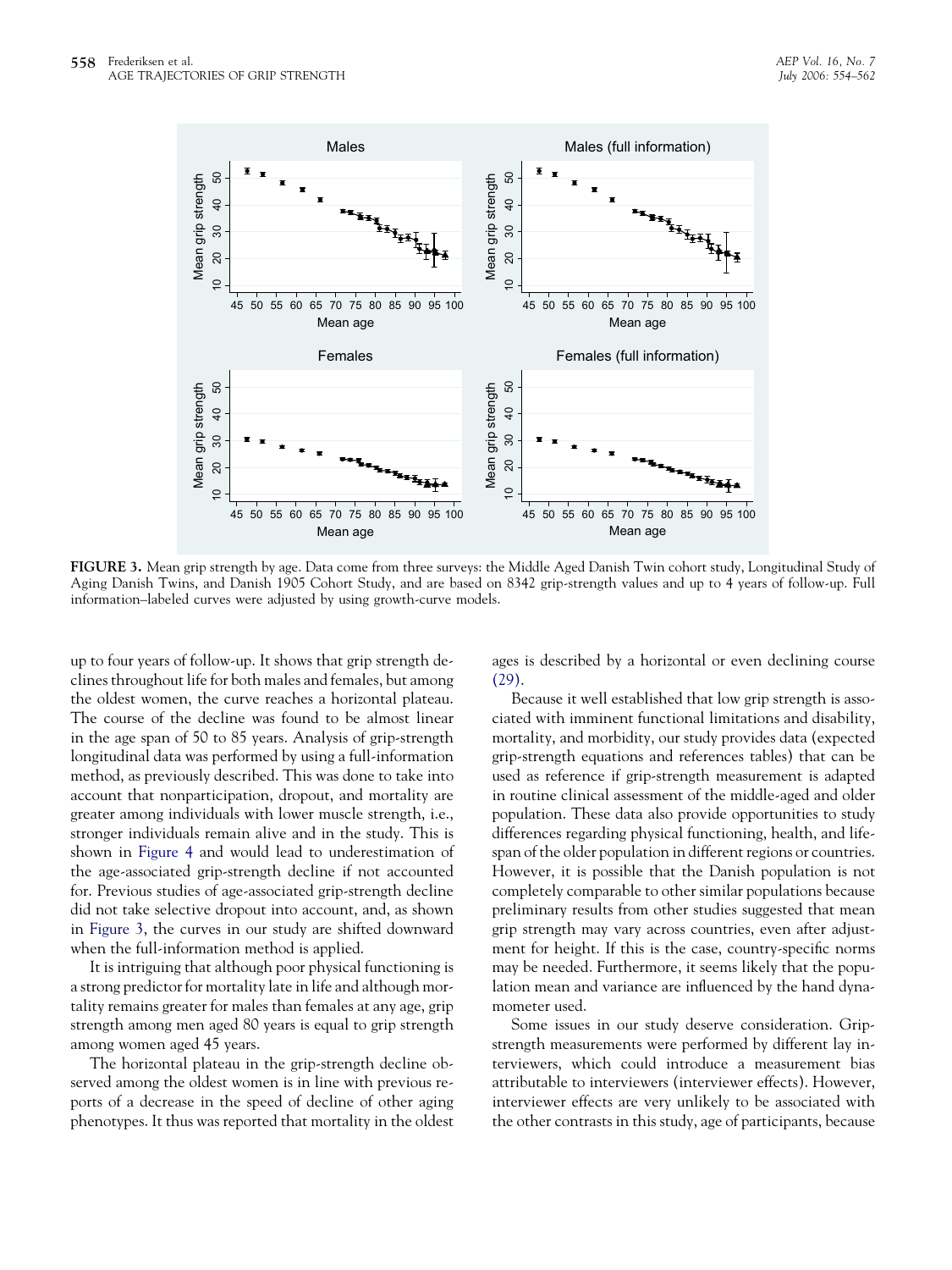<span id="page-4-0"></span>

FIGURE 3. Mean grip strength by age. Data come from three surveys: the Middle Aged Danish Twin cohort study, Longitudinal Study of Aging Danish Twins, and Danish 1905 Cohort Study, and are based on 8342 grip-strength values and up to 4 years of follow-up. Full information–labeled curves were adjusted by using growth-curve models.

up to four years of follow-up. It shows that grip strength declines throughout life for both males and females, but among the oldest women, the curve reaches a horizontal plateau. The course of the decline was found to be almost linear in the age span of 50 to 85 years. Analysis of grip-strength longitudinal data was performed by using a full-information method, as previously described. This was done to take into account that nonparticipation, dropout, and mortality are greater among individuals with lower muscle strength, i.e., stronger individuals remain alive and in the study. This is shown in [Figure 4](#page-5-0) and would lead to underestimation of the age-associated grip-strength decline if not accounted for. Previous studies of age-associated grip-strength decline did not take selective dropout into account, and, as shown in Figure 3, the curves in our study are shifted downward when the full-information method is applied.

It is intriguing that although poor physical functioning is a strong predictor for mortality late in life and although mortality remains greater for males than females at any age, grip strength among men aged 80 years is equal to grip strength among women aged 45 years.

The horizontal plateau in the grip-strength decline observed among the oldest women is in line with previous reports of a decrease in the speed of decline of other aging phenotypes. It thus was reported that mortality in the oldest ages is described by a horizontal or even declining course [\(29\).](#page-7-0)

Because it well established that low grip strength is associated with imminent functional limitations and disability, mortality, and morbidity, our study provides data (expected grip-strength equations and references tables) that can be used as reference if grip-strength measurement is adapted in routine clinical assessment of the middle-aged and older population. These data also provide opportunities to study differences regarding physical functioning, health, and lifespan of the older population in different regions or countries. However, it is possible that the Danish population is not completely comparable to other similar populations because preliminary results from other studies suggested that mean grip strength may vary across countries, even after adjustment for height. If this is the case, country-specific norms may be needed. Furthermore, it seems likely that the population mean and variance are influenced by the hand dynamometer used.

Some issues in our study deserve consideration. Gripstrength measurements were performed by different lay interviewers, which could introduce a measurement bias attributable to interviewers (interviewer effects). However, interviewer effects are very unlikely to be associated with the other contrasts in this study, age of participants, because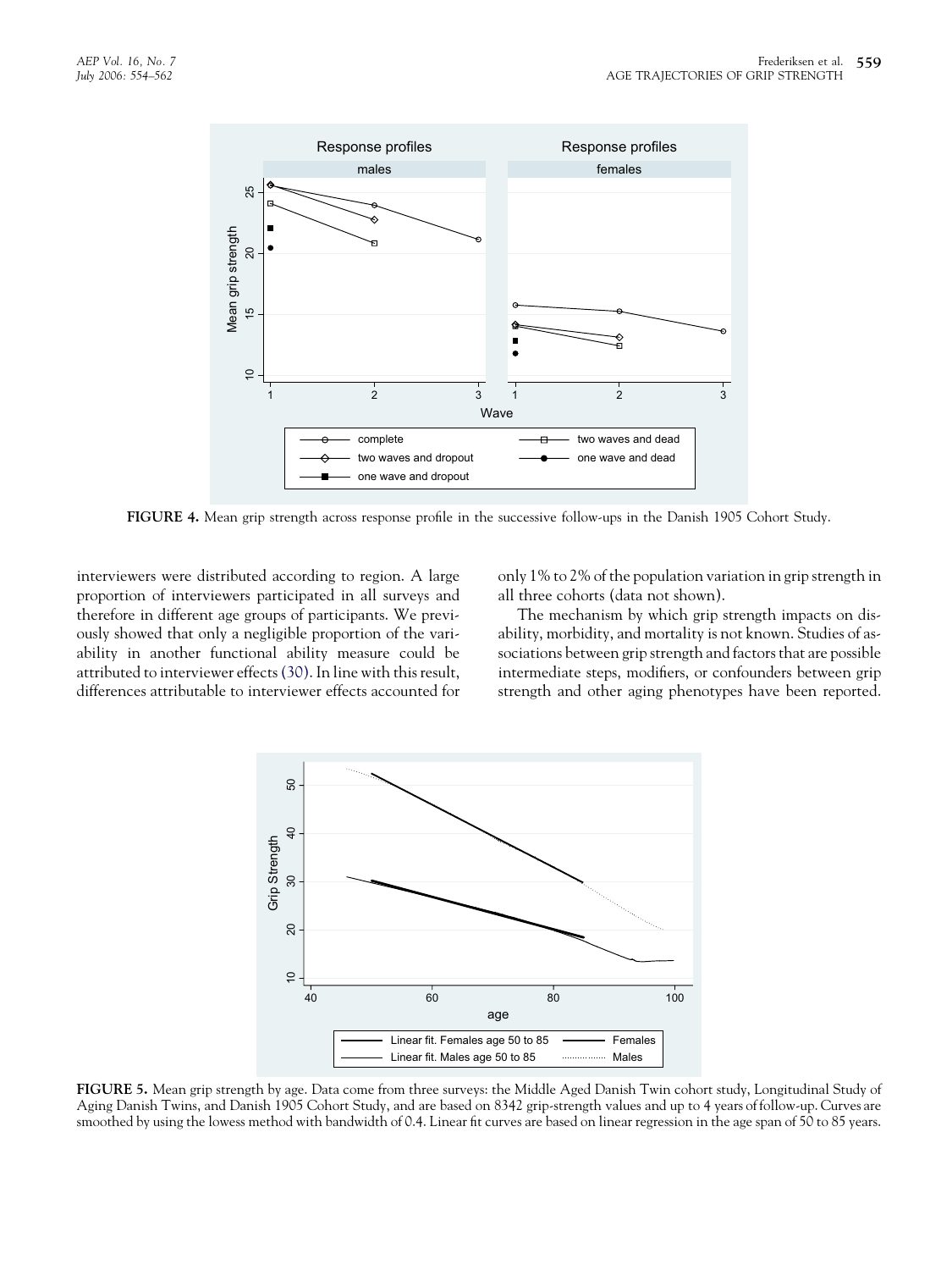<span id="page-5-0"></span>

FIGURE 4. Mean grip strength across response profile in the successive follow-ups in the Danish 1905 Cohort Study.

interviewers were distributed according to region. A large proportion of interviewers participated in all surveys and therefore in different age groups of participants. We previously showed that only a negligible proportion of the variability in another functional ability measure could be attributed to interviewer effects[\(30\).](#page-7-0) In line with this result, differences attributable to interviewer effects accounted for only 1% to 2% of the population variation in grip strength in all three cohorts (data not shown).

The mechanism by which grip strength impacts on disability, morbidity, and mortality is not known. Studies of associations between grip strength and factors that are possible intermediate steps, modifiers, or confounders between grip strength and other aging phenotypes have been reported.



FIGURE 5. Mean grip strength by age. Data come from three surveys: the Middle Aged Danish Twin cohort study, Longitudinal Study of Aging Danish Twins, and Danish 1905 Cohort Study, and are based on 8342 grip-strength values and up to 4 years of follow-up. Curves are smoothed by using the lowess method with bandwidth of 0.4. Linear fit curves are based on linear regression in the age span of 50 to 85 years.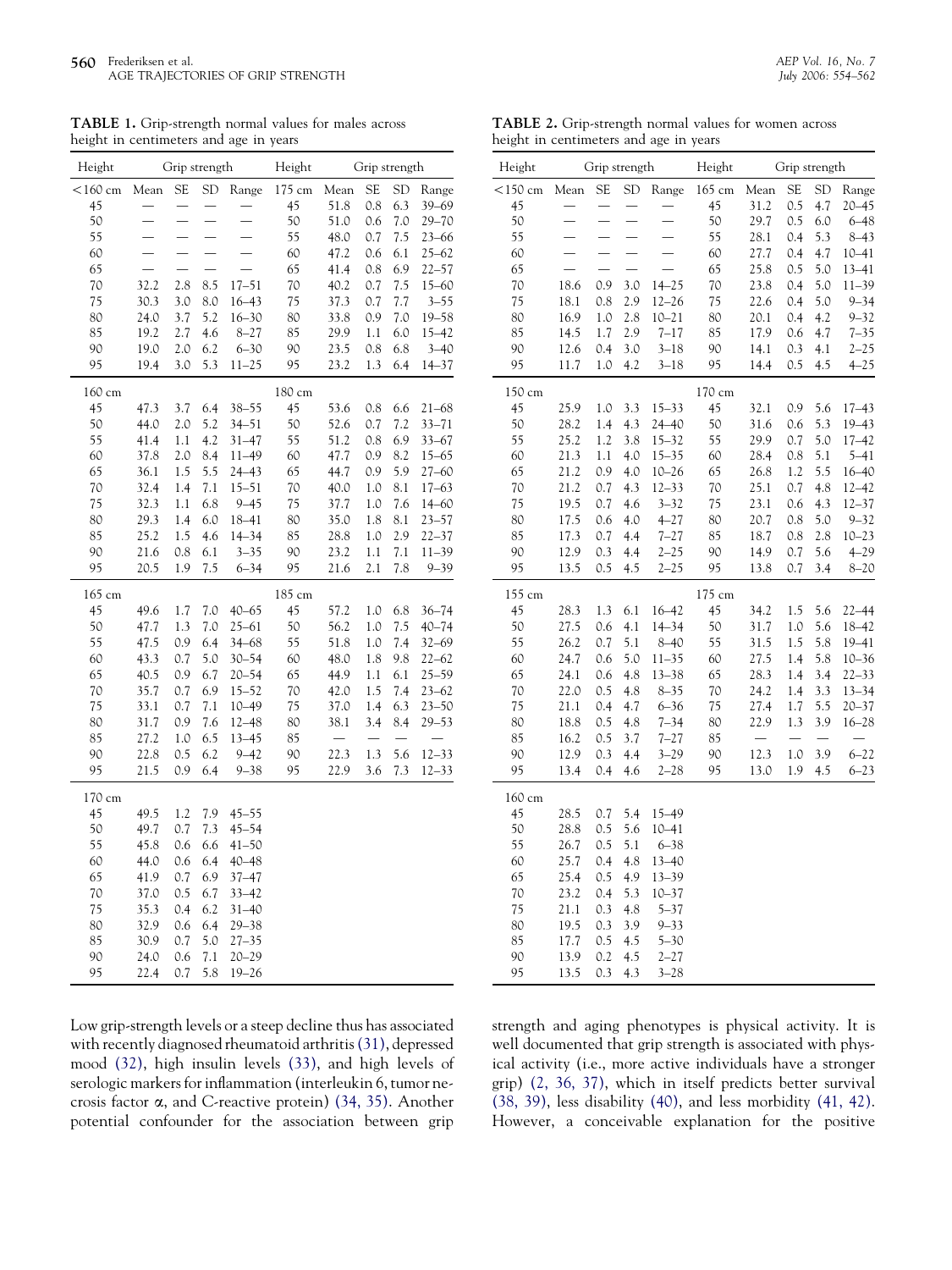<span id="page-6-0"></span>TABLE 1. Grip-strength normal values for males across height in centimeters and age in years

| Height     | Grip strength            |                          |                          |           | Height | Grip strength |           |           |           |
|------------|--------------------------|--------------------------|--------------------------|-----------|--------|---------------|-----------|-----------|-----------|
| $<$ 160 cm | Mean                     | SE                       | <b>SD</b>                | Range     | 175 cm | Mean          | <b>SE</b> | <b>SD</b> | Range     |
| 45         |                          |                          |                          |           | 45     | 51.8          | 0.8       | 6.3       | $39 - 69$ |
| 50         |                          |                          |                          |           | 50     | 51.0          | 0.6       | 7.0       | 29–70     |
| 55         |                          | $\overline{\phantom{0}}$ | $\overline{a}$           |           | 55     | 48.0          | 0.7       | 7.5       | 23-66     |
| 60         |                          |                          |                          |           | 60     | 47.2          | 0.6       | 6.1       | $25 - 62$ |
| 65         | $\overline{\phantom{0}}$ | $\overline{\phantom{0}}$ | $\overline{\phantom{0}}$ |           | 65     | 41.4          | 0.8       | 6.9       | 22–57     |
| 70         | 32.2                     | 2.8                      | 8.5                      | $17 - 51$ | 70     | 40.2          | 0.7       | 7.5       | $15 - 60$ |
| 75         | 30.3                     | 3.0                      | 8.0                      | $16 - 43$ | 75     | 37.3          | 0.7       | 7.7       | $3 - 55$  |
| 80         | 24.0                     | 3.7                      | 5.2                      | $16 - 30$ | 80     | 33.8          | 0.9       | 7.0       | $19 - 58$ |
| 85         | 19.2                     | 2.7                      | 4.6                      | $8 - 27$  | 85     | 29.9          | 1.1       | 6.0       | $15 - 42$ |
| 90         | 19.0                     | 2.0                      | 6.2                      | $6 - 30$  | 90     | 23.5          | 0.8       | 6.8       | $3 - 40$  |
| 95         | 19.4                     | 3.0                      | 5.3                      | $11 - 25$ | 95     | 23.2          | 1.3       | 6.4       | 14–37     |
| 160 cm     |                          |                          |                          |           | 180 cm |               |           |           |           |
| 45         | 47.3                     | 3.7                      | 6.4                      | $38 - 55$ | 45     | 53.6          | 0.8       | 6.6       | $21 - 68$ |
| 50         | 44.0                     | 2.0                      | 5.2                      | $34 - 51$ | 50     | 52.6          | 0.7       | 7.2       | $33 - 71$ |
| 55         | 41.4                     | 1.1                      | 4.2                      | $31 - 47$ | 55     | 51.2          | 0.8       | 6.9       | $33 - 67$ |
| 60         | 37.8                     | 2.0                      | 8.4                      | $11 - 49$ | 60     | 47.7          | 0.9       | 8.2       | 15–65     |
| 65         | 36.1                     | 1.5                      | 5.5                      | $24 - 43$ | 65     | 44.7          | 0.9       | 5.9       | $27 - 60$ |
| 70         | 32.4                     | 1.4                      | 7.1                      | $15 - 51$ | 70     | 40.0          | 1.0       | 8.1       | $17 - 63$ |
| 75         | 32.3                     | 1.1                      | 6.8                      | $9 - 45$  | 75     | 37.7          | 1.0       | 7.6       | 14-60     |
| 80         | 29.3                     | 1.4                      | 6.0                      | $18 - 41$ | 80     | 35.0          | 1.8       | 8.1       | $23 - 57$ |
| 85         | 25.2                     | 1.5                      | 4.6                      | $14 - 34$ | 85     | 28.8          | 1.0       | 2.9       | $22 - 37$ |
| 90         | 21.6                     | 0.8                      | 6.1                      | $3 - 35$  | 90     | 23.2          | 1.1       | 7.1       | $11 - 39$ |
| 95         | 20.5                     | 1.9                      | 7.5                      | $6 - 34$  | 95     | 21.6          | 2.1       | 7.8       | $9 - 39$  |
| 165 cm     |                          |                          |                          |           | 185 cm |               |           |           |           |
| 45         | 49.6                     | 1.7                      | 7.0                      | $40 - 65$ | 45     | 57.2          | 1.0       | 6.8       | $36 - 74$ |
| 50         | 47.7                     | 1.3                      | 7.0                      | $25 - 61$ | 50     | 56.2          | 1.0       | 7.5       | $40 - 74$ |
| 55         | 47.5                     | 0.9                      | 6.4                      | $34 - 68$ | 55     | 51.8          | 1.0       | 7.4       | $32 - 69$ |
| 60         | 43.3                     | 0.7                      | 5.0                      | $30 - 54$ | 60     | 48.0          | 1.8       | 9.8       | $22 - 62$ |
| 65         | 40.5                     | 0.9                      | 6.7                      | $20 - 54$ | 65     | 44.9          | 1.1       | 6.1       | $25 - 59$ |
| 70         | 35.7                     | 0.7                      | 6.9                      | $15 - 52$ | 70     | 42.0          | 1.5       | 7.4       | $23 - 62$ |
| 75         | 33.1                     | 0.7                      | 7.1                      | $10 - 49$ | 75     | 37.0          | 1.4       | 6.3       | $23 - 50$ |
| 80         | 31.7                     | 0.9                      | 7.6                      | $12 - 48$ | 80     | 38.1          | 3.4       | 8.4       | $29 - 53$ |
| 85         | 27.2                     | 1.0                      | 6.5                      | $13 - 45$ | 85     |               |           |           |           |
| 90         | 22.8                     | 0.5                      | 6.2                      | $9 - 42$  | 90     | 22.3          | 1.3       | 5.6       | $12 - 33$ |
| 95         | 21.5                     | 0.9                      | 6.4                      | $9 - 38$  | 95     | 22.9          | 3.6       | 7.3       | $12 - 33$ |
| 170 cm     |                          |                          |                          |           |        |               |           |           |           |
| 45         | 49.5                     | 1.2                      | 7.9                      | $45 - 55$ |        |               |           |           |           |
| 50         | 49.7                     | 0.7                      | 7.3                      | $45 - 54$ |        |               |           |           |           |
| 55         | 45.8                     | 0.6                      | 6.6                      | $41 - 50$ |        |               |           |           |           |
| 60         | 44.0                     | 0.6                      | 6.4                      | $40 - 48$ |        |               |           |           |           |
| 65         | 41.9                     | 0.7                      | 6.9                      | 37-47     |        |               |           |           |           |
| 70         | 37.0                     | 0.5                      | 6.7                      | $33 - 42$ |        |               |           |           |           |
| 75         | 35.3                     | 0.4                      | 6.2                      | $31 - 40$ |        |               |           |           |           |
| 80         | 32.9                     | 0.6                      | 6.4                      | $29 - 38$ |        |               |           |           |           |
| 85         | 30.9                     | 0.7                      | 5.0                      | $27 - 35$ |        |               |           |           |           |
| 90         | 24.0                     | 0.6                      | 7.1                      | $20 - 29$ |        |               |           |           |           |
| 95         | 22.4                     | 0.7                      | 5.8                      | $19 - 26$ |        |               |           |           |           |

Low grip-strength levels or a steep decline thus has associated with recently diagnosed rheumatoid arthritis[\(31\),](#page-7-0) depressed mood [\(32\)](#page-7-0), high insulin levels [\(33\),](#page-7-0) and high levels of serologic markers for inflammation (interleukin 6, tumor necrosis factor *a*, and C-reactive protein) [\(34, 35\)](#page-7-0). Another potential confounder for the association between grip

strength and aging phenotypes is physical activity. It is well documented that grip strength is associated with physical activity (i.e., more active individuals have a stronger grip) [\(2, 36, 37\)](#page-7-0), which in itself predicts better survival [\(38, 39\)](#page-8-0), less disability [\(40\)](#page-8-0), and less morbidity [\(41, 42\).](#page-8-0) However, a conceivable explanation for the positive

TABLE 2. Grip-strength normal values for women across height in centimeters and age in years

| Height     | Grip strength            |                          |                          |                          | Height | Grip strength |           |           |           |
|------------|--------------------------|--------------------------|--------------------------|--------------------------|--------|---------------|-----------|-----------|-----------|
| $<$ 150 cm | Mean                     | <b>SE</b>                | <b>SD</b>                | Range                    | 165 cm | Mean          | <b>SE</b> | <b>SD</b> | Range     |
| 45         | $\overline{\phantom{0}}$ | $\equiv$                 | $\overline{\phantom{0}}$ | $\overline{\phantom{0}}$ | 45     | 31.2          | 0.5       | 4.7       | $20 - 45$ |
| 50         | $\overline{\phantom{0}}$ | $\overline{\phantom{0}}$ | $\equiv$                 |                          | 50     | 29.7          | 0.5       | 6.0       | $6 - 48$  |
| 55         |                          |                          |                          |                          | 55     | 28.1          | 0.4       | 5.3       | $8 - 43$  |
| 60         |                          |                          |                          |                          | 60     | 27.7          | 0.4       | 4.7       | $10 - 41$ |
| 65         |                          |                          |                          |                          | 65     | 25.8          | 0.5       | 5.0       | $13 - 41$ |
| 70         | 18.6                     | 0.9                      | 3.0                      | $14 - 25$                | 70     | 23.8          | 0.4       | 5.0       | $11 - 39$ |
| 75         | 18.1                     | $0.8\,$                  | 2.9                      | $12 - 26$                | 75     | 22.6          | 0.4       | 5.0       | $9 - 34$  |
| 80         | 16.9                     | 1.0                      | 2.8                      | $10 - 21$                | 80     | 20.1          | 0.4       | 4.2       | $9 - 32$  |
| 85         | 14.5                     | 1.7                      | 2.9                      | $7 - 17$                 | 85     | 17.9          | 0.6       | 4.7       | $7 - 35$  |
| 90         | 12.6                     | 0.4                      | 3.0                      | $3 - 18$                 | 90     | 14.1          | 0.3       | 4.1       | $2 - 25$  |
| 95         | 11.7                     | 1.0                      | 4.2                      | $3 - 18$                 | 95     | 14.4          | 0.5       | 4.5       | $4 - 25$  |
| 150 cm     |                          |                          |                          |                          | 170 cm |               |           |           |           |
| 45         | 25.9                     | 1.0                      | 3.3                      | $15 - 33$                | 45     | 32.1          | 0.9       | 5.6       | $17 - 43$ |
| 50         | 28.2                     | 1.4                      | 4.3                      | $24 - 40$                | 50     | 31.6          | 0.6       | 5.3       | $19 - 43$ |
| 55         | 25.2                     | 1.2                      | 3.8                      | $15 - 32$                | 55     | 29.9          | 0.7       | 5.0       | $17 - 42$ |
| 60         | 21.3                     | 1.1                      | 4.0                      | $15 - 35$                | 60     | 28.4          | 0.8       | 5.1       | $5 - 41$  |
| 65         | 21.2                     | 0.9                      | 4.0                      | $10 - 26$                | 65     | 26.8          | 1.2       | 5.5       | $16 - 40$ |
| 70         | 21.2                     | 0.7                      | 4.3                      | $12 - 33$                | 70     | 25.1          | 0.7       | 4.8       | $12 - 42$ |
| 75         | 19.5                     | 0.7                      | 4.6                      | $3 - 32$                 | 75     | 23.1          | 0.6       | 4.3       | $12 - 37$ |
| 80         | 17.5                     | 0.6                      | 4.0                      | $4 - 27$                 | 80     | 20.7          | 0.8       | 5.0       | $9 - 32$  |
| 85         | 17.3                     | 0.7                      | 4.4                      | $7 - 27$                 | 85     | 18.7          | 0.8       | 2.8       | $10 - 23$ |
| 90         | 12.9                     | 0.3                      | 4.4                      | $2 - 25$                 | 90     | 14.9          | 0.7       | 5.6       | $4 - 29$  |
| 95         | 13.5                     | 0.5                      | 4.5                      | $2 - 25$                 | 95     | 13.8          | 0.7       | 3.4       | $8 - 20$  |
| 155 cm     |                          |                          |                          |                          | 175 cm |               |           |           |           |
| 45         | 28.3                     | 1.3                      | 6.1                      | $16 - 42$                | 45     | 34.2          | 1.5       | 5.6       | $22 - 44$ |
| 50         | 27.5                     | 0.6                      | 4.1                      | $14 - 34$                | 50     | 31.7          | 1.0       | 5.6       | $18 - 42$ |
| 55         | 26.2                     | 0.7                      | 5.1                      | $8 - 40$                 | 55     | 31.5          | 1.5       | 5.8       | 19-41     |
| 60         | 24.7                     | 0.6                      | 5.0                      | $11 - 35$                | 60     | 27.5          | 1.4       | 5.8       | $10 - 36$ |
| 65         | 24.1                     | 0.6                      | 4.8                      | $13 - 38$                | 65     | 28.3          | 1.4       | 3.4       | $22 - 33$ |
| 70         | 22.0                     | 0.5                      | 4.8                      | $8 - 35$                 | 70     | 24.2          | 1.4       | 3.3       | $13 - 34$ |
| 75         | 21.1                     | 0.4                      | 4.7                      | $6 - 36$                 | 75     | 27.4          | 1.7       | 5.5       | $20 - 37$ |
| 80         | 18.8                     | 0.5                      | 4.8                      | $7 - 34$                 | 80     | 22.9          | 1.3       | 3.9       | $16 - 28$ |
| 85         | 16.2                     | 0.5                      | 3.7                      | $7 - 27$                 | 85     |               |           |           |           |
| 90         | 12.9                     | 0.3                      | 4.4                      | $3 - 29$                 | 90     | 12.3          | 1.0       | 3.9       | $6 - 22$  |
| 95         | 13.4                     | 0.4                      | 4.6                      | $2 - 28$                 | 95     | 13.0          | 1.9       | 4.5       | $6 - 23$  |
| 160 cm     |                          |                          |                          |                          |        |               |           |           |           |
| 45         | 28.5                     | 0.7                      | 5.4                      | $15 - 49$                |        |               |           |           |           |
| 50         | 28.8                     | 0.5                      | 5.6                      | $10 - 41$                |        |               |           |           |           |
| 55         | 26.7                     | 0.5                      | 5.1                      | $6 - 38$                 |        |               |           |           |           |
| 60         | 25.7                     | 0.4                      | 4.8                      | $13 - 40$                |        |               |           |           |           |
| 65         | 25.4                     | 0.5                      | 4.9                      | $13 - 39$                |        |               |           |           |           |
| 70         | 23.2                     | 0.4                      | 5.3                      | $10 - 37$                |        |               |           |           |           |
| 75         | 21.1                     | 0.3                      | 4.8                      | $5 - 37$                 |        |               |           |           |           |
| 80         | 19.5                     | 0.3                      | 3.9                      | $9 - 33$                 |        |               |           |           |           |
| 85         | 17.7                     | 0.5                      | 4.5                      | $5 - 30$                 |        |               |           |           |           |
| 90         | 13.9                     | 0.2                      | 4.5                      | $2 - 27$                 |        |               |           |           |           |
| 95         | 13.5                     | 0.3                      | 4.3                      | $3 - 28$                 |        |               |           |           |           |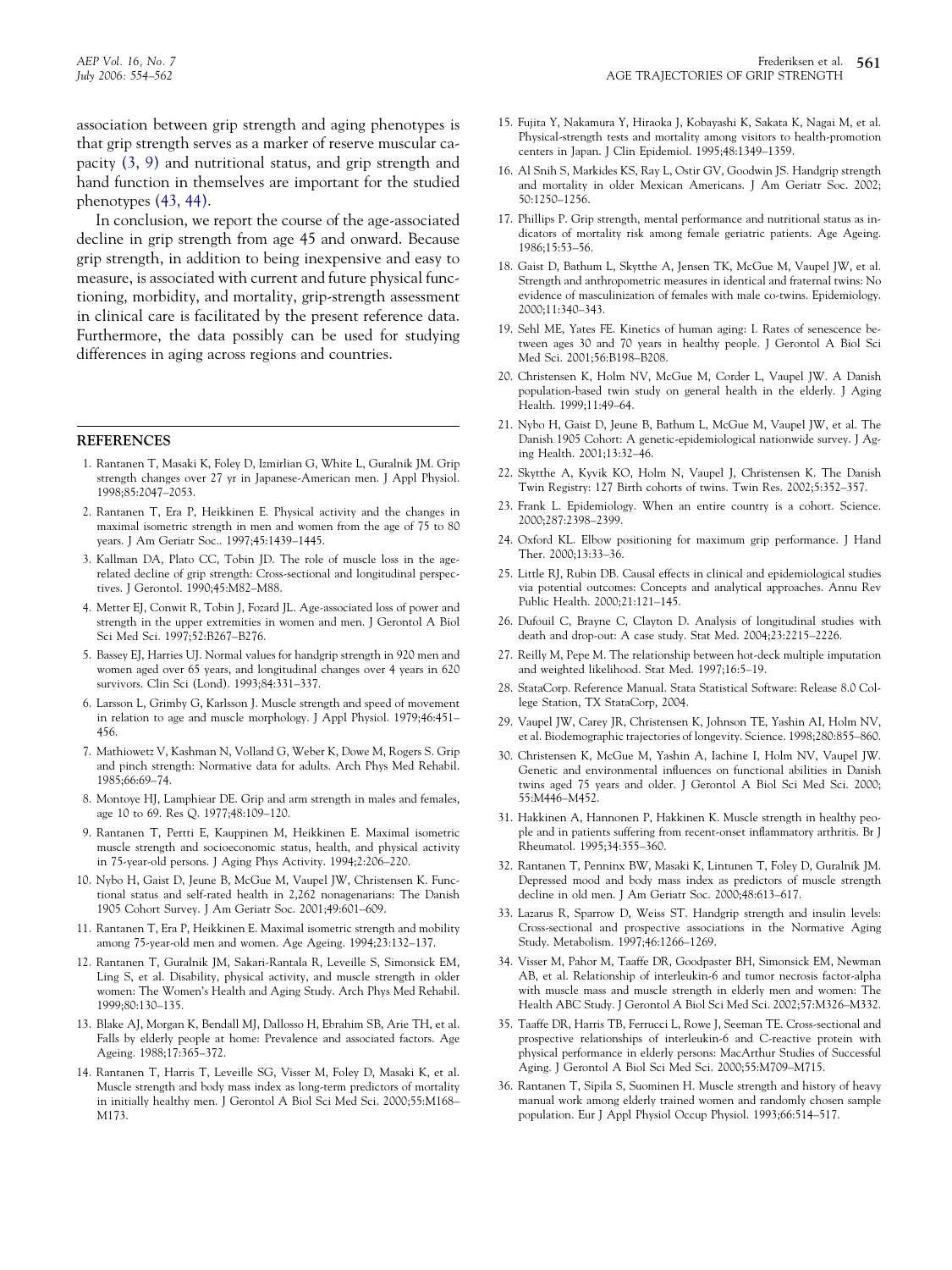<span id="page-7-0"></span>In conclusion, we report the course of the age-associated decline in grip strength from age 45 and onward. Because grip strength, in addition to being inexpensive and easy to measure, is associated with current and future physical functioning, morbidity, and mortality, grip-strength assessment in clinical care is facilitated by the present reference data. Furthermore, the data possibly can be used for studying differences in aging across regions and countries.

#### **REFERENCES**

- 1. Rantanen T, Masaki K, Foley D, Izmirlian G, White L, Guralnik JM. Grip strength changes over 27 yr in Japanese-American men. J Appl Physiol. 1998;85:2047–2053.
- 2. Rantanen T, Era P, Heikkinen E. Physical activity and the changes in maximal isometric strength in men and women from the age of 75 to 80 years. J Am Geriatr Soc.. 1997;45:1439–1445.
- 3. Kallman DA, Plato CC, Tobin JD. The role of muscle loss in the agerelated decline of grip strength: Cross-sectional and longitudinal perspectives. J Gerontol. 1990;45:M82–M88.
- 4. Metter EJ, Conwit R, Tobin J, Fozard JL. Age-associated loss of power and strength in the upper extremities in women and men. J Gerontol A Biol Sci Med Sci. 1997;52:B267–B276.
- 5. Bassey EJ, Harries UJ. Normal values for handgrip strength in 920 men and women aged over 65 years, and longitudinal changes over 4 years in 620 survivors. Clin Sci (Lond). 1993;84:331–337.
- 6. Larsson L, Grimby G, Karlsson J. Muscle strength and speed of movement in relation to age and muscle morphology. J Appl Physiol. 1979;46:451– 456.
- 7. Mathiowetz V, Kashman N, Volland G, Weber K, Dowe M, Rogers S. Grip and pinch strength: Normative data for adults. Arch Phys Med Rehabil. 1985;66:69–74.
- 8. Montoye HJ, Lamphiear DE. Grip and arm strength in males and females, age 10 to 69. Res Q. 1977;48:109–120.
- 9. Rantanen T, Pertti E, Kauppinen M, Heikkinen E. Maximal isometric muscle strength and socioeconomic status, health, and physical activity in 75-year-old persons. J Aging Phys Activity. 1994;2:206–220.
- 10. Nybo H, Gaist D, Jeune B, McGue M, Vaupel JW, Christensen K. Functional status and self-rated health in 2,262 nonagenarians: The Danish 1905 Cohort Survey. J Am Geriatr Soc. 2001;49:601–609.
- 11. Rantanen T, Era P, Heikkinen E. Maximal isometric strength and mobility among 75-year-old men and women. Age Ageing. 1994;23:132–137.
- 12. Rantanen T, Guralnik JM, Sakari-Rantala R, Leveille S, Simonsick EM, Ling S, et al. Disability, physical activity, and muscle strength in older women: The Women's Health and Aging Study. Arch Phys Med Rehabil. 1999;80:130–135.
- 13. Blake AJ, Morgan K, Bendall MJ, Dallosso H, Ebrahim SB, Arie TH, et al. Falls by elderly people at home: Prevalence and associated factors. Age Ageing. 1988;17:365–372.
- 14. Rantanen T, Harris T, Leveille SG, Visser M, Foley D, Masaki K, et al. Muscle strength and body mass index as long-term predictors of mortality in initially healthy men. J Gerontol A Biol Sci Med Sci. 2000;55:M168– M173.
- 15. Fujita Y, Nakamura Y, Hiraoka J, Kobayashi K, Sakata K, Nagai M, et al. Physical-strength tests and mortality among visitors to health-promotion centers in Japan. J Clin Epidemiol. 1995;48:1349–1359.
- 16. Al Snih S, Markides KS, Ray L, Ostir GV, Goodwin JS. Handgrip strength and mortality in older Mexican Americans. J Am Geriatr Soc. 2002; 50:1250–1256.
- 17. Phillips P. Grip strength, mental performance and nutritional status as indicators of mortality risk among female geriatric patients. Age Ageing. 1986;15:53–56.
- 18. Gaist D, Bathum L, Skytthe A, Jensen TK, McGue M, Vaupel JW, et al. Strength and anthropometric measures in identical and fraternal twins: No evidence of masculinization of females with male co-twins. Epidemiology. 2000;11:340–343.
- 19. Sehl ME, Yates FE. Kinetics of human aging: I. Rates of senescence between ages 30 and 70 years in healthy people. J Gerontol A Biol Sci Med Sci. 2001;56:B198–B208.
- 20. Christensen K, Holm NV, McGue M, Corder L, Vaupel JW. A Danish population-based twin study on general health in the elderly. J Aging Health. 1999;11:49–64.
- 21. Nybo H, Gaist D, Jeune B, Bathum L, McGue M, Vaupel JW, et al. The Danish 1905 Cohort: A genetic-epidemiological nationwide survey. J Aging Health. 2001;13:32–46.
- 22. Skytthe A, Kyvik KO, Holm N, Vaupel J, Christensen K. The Danish Twin Registry: 127 Birth cohorts of twins. Twin Res. 2002;5:352–357.
- 23. Frank L. Epidemiology. When an entire country is a cohort. Science. 2000;287:2398–2399.
- 24. Oxford KL. Elbow positioning for maximum grip performance. J Hand Ther. 2000;13:33–36.
- 25. Little RJ, Rubin DB. Causal effects in clinical and epidemiological studies via potential outcomes: Concepts and analytical approaches. Annu Rev Public Health. 2000;21:121–145.
- 26. Dufouil C, Brayne C, Clayton D. Analysis of longitudinal studies with death and drop-out: A case study. Stat Med. 2004;23:2215–2226.
- 27. Reilly M, Pepe M. The relationship between hot-deck multiple imputation and weighted likelihood. Stat Med. 1997;16:5–19.
- 28. StataCorp. Reference Manual. Stata Statistical Software: Release 8.0 College Station, TX StataCorp, 2004.
- 29. Vaupel JW, Carey JR, Christensen K, Johnson TE, Yashin AI, Holm NV, et al. Biodemographic trajectories of longevity. Science. 1998;280:855–860.
- 30. Christensen K, McGue M, Yashin A, Iachine I, Holm NV, Vaupel JW. Genetic and environmental influences on functional abilities in Danish twins aged 75 years and older. J Gerontol A Biol Sci Med Sci. 2000; 55:M446–M452.
- 31. Hakkinen A, Hannonen P, Hakkinen K. Muscle strength in healthy people and in patients suffering from recent-onset inflammatory arthritis. Br J Rheumatol. 1995;34:355–360.
- 32. Rantanen T, Penninx BW, Masaki K, Lintunen T, Foley D, Guralnik JM. Depressed mood and body mass index as predictors of muscle strength decline in old men. J Am Geriatr Soc. 2000;48:613–617.
- 33. Lazarus R, Sparrow D, Weiss ST. Handgrip strength and insulin levels: Cross-sectional and prospective associations in the Normative Aging Study. Metabolism. 1997;46:1266–1269.
- 34. Visser M, Pahor M, Taaffe DR, Goodpaster BH, Simonsick EM, Newman AB, et al. Relationship of interleukin-6 and tumor necrosis factor-alpha with muscle mass and muscle strength in elderly men and women: The Health ABC Study. J Gerontol A Biol Sci Med Sci. 2002;57:M326–M332.
- 35. Taaffe DR, Harris TB, Ferrucci L, Rowe J, Seeman TE. Cross-sectional and prospective relationships of interleukin-6 and C-reactive protein with physical performance in elderly persons: MacArthur Studies of Successful Aging. J Gerontol A Biol Sci Med Sci. 2000;55:M709–M715.
- 36. Rantanen T, Sipila S, Suominen H. Muscle strength and history of heavy manual work among elderly trained women and randomly chosen sample population. Eur J Appl Physiol Occup Physiol. 1993;66:514–517.